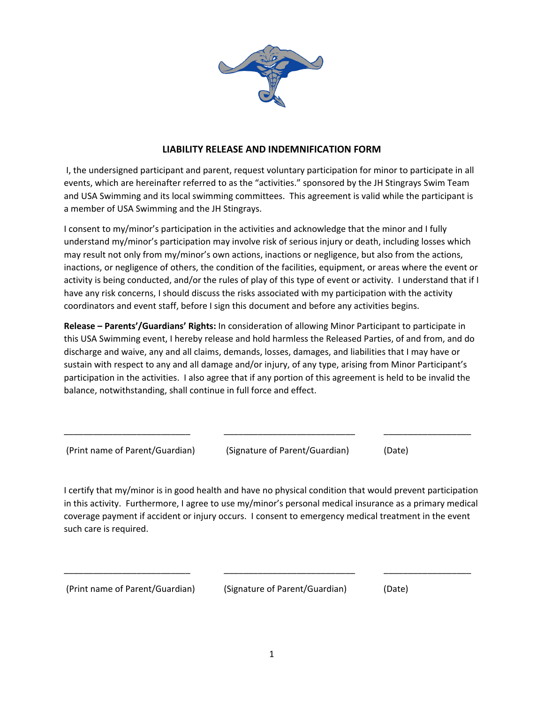

## **LIABILITY RELEASE AND INDEMNIFICATION FORM**

 I, the undersigned participant and parent, request voluntary participation for minor to participate in all events, which are hereinafter referred to as the "activities." sponsored by the JH Stingrays Swim Team and USA Swimming and its local swimming committees. This agreement is valid while the participant is a member of USA Swimming and the JH Stingrays.

I consent to my/minor's participation in the activities and acknowledge that the minor and I fully understand my/minor's participation may involve risk of serious injury or death, including losses which may result not only from my/minor's own actions, inactions or negligence, but also from the actions, inactions, or negligence of others, the condition of the facilities, equipment, or areas where the event or activity is being conducted, and/or the rules of play of this type of event or activity. I understand that if I have any risk concerns, I should discuss the risks associated with my participation with the activity coordinators and event staff, before I sign this document and before any activities begins.

**Release – Parents'/Guardians' Rights:** In consideration of allowing Minor Participant to participate in this USA Swimming event, I hereby release and hold harmless the Released Parties, of and from, and do discharge and waive, any and all claims, demands, losses, damages, and liabilities that I may have or sustain with respect to any and all damage and/or injury, of any type, arising from Minor Participant's participation in the activities. I also agree that if any portion of this agreement is held to be invalid the balance, notwithstanding, shall continue in full force and effect.

\_\_\_\_\_\_\_\_\_\_\_\_\_\_\_\_\_\_\_\_\_\_\_\_\_\_ \_\_\_\_\_\_\_\_\_\_\_\_\_\_\_\_\_\_\_\_\_\_\_\_\_\_\_ \_\_\_\_\_\_\_\_\_\_\_\_\_\_\_\_\_\_

| (Print name of Parent/Guardian) | (Signature of Parent/Guardian) | (Date) |
|---------------------------------|--------------------------------|--------|
|                                 |                                |        |

I certify that my/minor is in good health and have no physical condition that would prevent participation in this activity. Furthermore, I agree to use my/minor's personal medical insurance as a primary medical coverage payment if accident or injury occurs. I consent to emergency medical treatment in the event such care is required.

\_\_\_\_\_\_\_\_\_\_\_\_\_\_\_\_\_\_\_\_\_\_\_\_\_\_ \_\_\_\_\_\_\_\_\_\_\_\_\_\_\_\_\_\_\_\_\_\_\_\_\_\_\_ \_\_\_\_\_\_\_\_\_\_\_\_\_\_\_\_\_\_

(Print name of Parent/Guardian) (Signature of Parent/Guardian) (Date)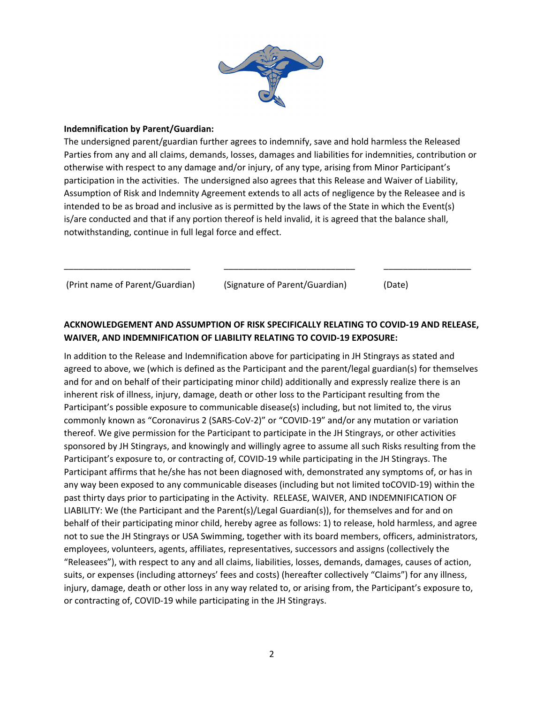

## **Indemnification by Parent/Guardian:**

The undersigned parent/guardian further agrees to indemnify, save and hold harmless the Released Parties from any and all claims, demands, losses, damages and liabilities for indemnities, contribution or otherwise with respect to any damage and/or injury, of any type, arising from Minor Participant's participation in the activities. The undersigned also agrees that this Release and Waiver of Liability, Assumption of Risk and Indemnity Agreement extends to all acts of negligence by the Releasee and is intended to be as broad and inclusive as is permitted by the laws of the State in which the Event(s) is/are conducted and that if any portion thereof is held invalid, it is agreed that the balance shall, notwithstanding, continue in full legal force and effect.

(Print name of Parent/Guardian) (Signature of Parent/Guardian) (Date)

## **ACKNOWLEDGEMENT AND ASSUMPTION OF RISK SPECIFICALLY RELATING TO COVID-19 AND RELEASE, WAIVER, AND INDEMNIFICATION OF LIABILITY RELATING TO COVID-19 EXPOSURE:**

\_\_\_\_\_\_\_\_\_\_\_\_\_\_\_\_\_\_\_\_\_\_\_\_\_\_ \_\_\_\_\_\_\_\_\_\_\_\_\_\_\_\_\_\_\_\_\_\_\_\_\_\_\_ \_\_\_\_\_\_\_\_\_\_\_\_\_\_\_\_\_\_

In addition to the Release and Indemnification above for participating in JH Stingrays as stated and agreed to above, we (which is defined as the Participant and the parent/legal guardian(s) for themselves and for and on behalf of their participating minor child) additionally and expressly realize there is an inherent risk of illness, injury, damage, death or other loss to the Participant resulting from the Participant's possible exposure to communicable disease(s) including, but not limited to, the virus commonly known as "Coronavirus 2 (SARS-CoV-2)" or "COVID-19" and/or any mutation or variation thereof. We give permission for the Participant to participate in the JH Stingrays, or other activities sponsored by JH Stingrays, and knowingly and willingly agree to assume all such Risks resulting from the Participant's exposure to, or contracting of, COVID-19 while participating in the JH Stingrays. The Participant affirms that he/she has not been diagnosed with, demonstrated any symptoms of, or has in any way been exposed to any communicable diseases (including but not limited toCOVID-19) within the past thirty days prior to participating in the Activity. RELEASE, WAIVER, AND INDEMNIFICATION OF LIABILITY: We (the Participant and the Parent(s)/Legal Guardian(s)), for themselves and for and on behalf of their participating minor child, hereby agree as follows: 1) to release, hold harmless, and agree not to sue the JH Stingrays or USA Swimming, together with its board members, officers, administrators, employees, volunteers, agents, affiliates, representatives, successors and assigns (collectively the "Releasees"), with respect to any and all claims, liabilities, losses, demands, damages, causes of action, suits, or expenses (including attorneys' fees and costs) (hereafter collectively "Claims") for any illness, injury, damage, death or other loss in any way related to, or arising from, the Participant's exposure to, or contracting of, COVID-19 while participating in the JH Stingrays.